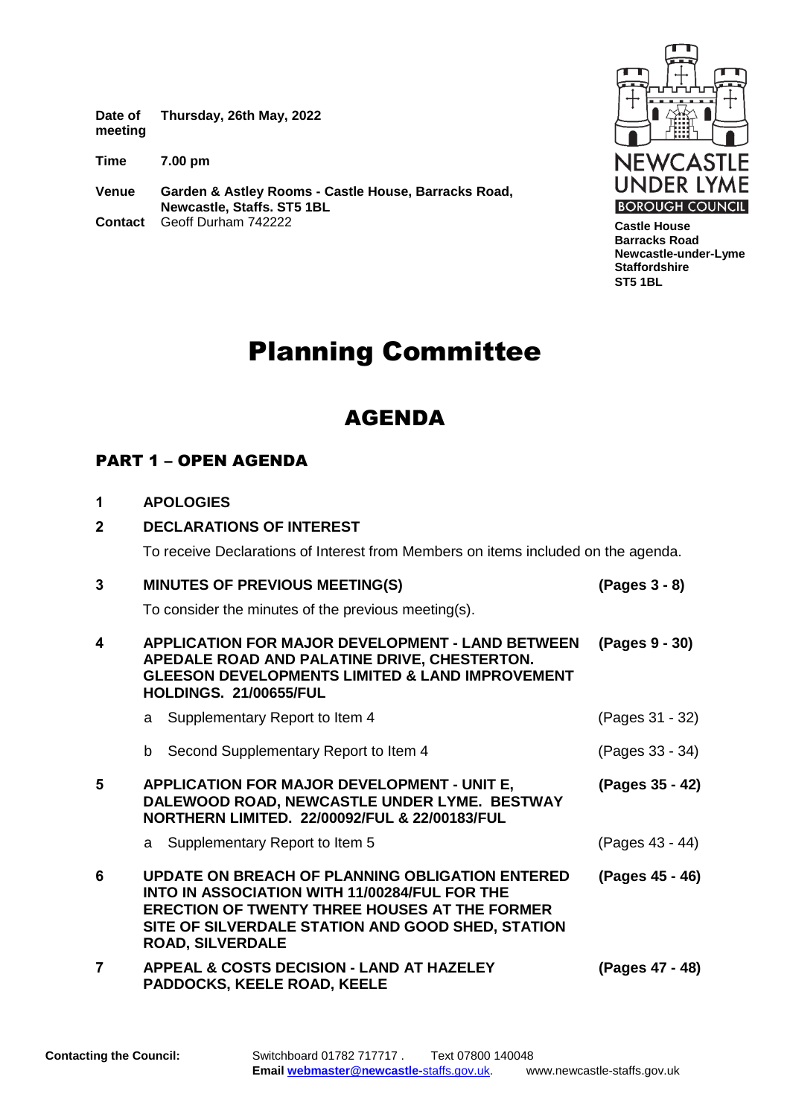**Date of meeting Thursday, 26th May, 2022**

**Time 7.00 pm**

**Venue Garden & Astley Rooms - Castle House, Barracks Road, Newcastle, Staffs. ST5 1BL Contact** Geoff Durham 742222



**Castle House Barracks Road Newcastle-under-Lyme Staffordshire ST5 1BL**

# Planning Committee

# AGENDA

## PART 1 – OPEN AGENDA

|  |  |  | <b>APOLOGIES</b> |
|--|--|--|------------------|
|--|--|--|------------------|

# **2 DECLARATIONS OF INTEREST**

To receive Declarations of Interest from Members on items included on the agenda.

| 3 | <b>MINUTES OF PREVIOUS MEETING(S)</b>                                                                                                                                                                                                           | (Pages 3 - 8)   |
|---|-------------------------------------------------------------------------------------------------------------------------------------------------------------------------------------------------------------------------------------------------|-----------------|
|   | To consider the minutes of the previous meeting(s).                                                                                                                                                                                             |                 |
| 4 | <b>APPLICATION FOR MAJOR DEVELOPMENT - LAND BETWEEN</b><br>APEDALE ROAD AND PALATINE DRIVE, CHESTERTON.<br><b>GLEESON DEVELOPMENTS LIMITED &amp; LAND IMPROVEMENT</b><br><b>HOLDINGS, 21/00655/FUL</b>                                          | (Pages 9 - 30)  |
|   | a Supplementary Report to Item 4                                                                                                                                                                                                                | (Pages 31 - 32) |
|   | b Second Supplementary Report to Item 4                                                                                                                                                                                                         | (Pages 33 - 34) |
| 5 | <b>APPLICATION FOR MAJOR DEVELOPMENT - UNIT E,</b><br>DALEWOOD ROAD, NEWCASTLE UNDER LYME. BESTWAY<br>NORTHERN LIMITED. 22/00092/FUL & 22/00183/FUL                                                                                             | (Pages 35 - 42) |
|   | a Supplementary Report to Item 5                                                                                                                                                                                                                | (Pages 43 - 44) |
| 6 | <b>UPDATE ON BREACH OF PLANNING OBLIGATION ENTERED</b><br>INTO IN ASSOCIATION WITH 11/00284/FUL FOR THE<br><b>ERECTION OF TWENTY THREE HOUSES AT THE FORMER</b><br>SITE OF SILVERDALE STATION AND GOOD SHED, STATION<br><b>ROAD, SILVERDALE</b> | (Pages 45 - 46) |
| 7 | <b>APPEAL &amp; COSTS DECISION - LAND AT HAZELEY</b><br><b>PADDOCKS, KEELE ROAD, KEELE</b>                                                                                                                                                      | (Pages 47 - 48) |